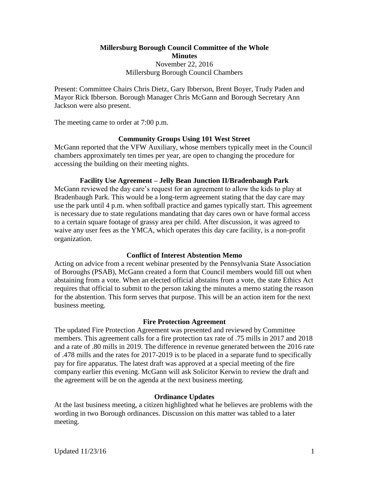**Millersburg Borough Council Committee of the Whole Minutes** November 22, 2016 Millersburg Borough Council Chambers

Present: Committee Chairs Chris Dietz, Gary Ibberson, Brent Boyer, Trudy Paden and Mayor Rick Ibberson. Borough Manager Chris McGann and Borough Secretary Ann Jackson were also present.

The meeting came to order at 7:00 p.m.

# **Community Groups Using 101 West Street**

McGann reported that the VFW Auxiliary, whose members typically meet in the Council chambers approximately ten times per year, are open to changing the procedure for accessing the building on their meeting nights.

## **Facility Use Agreement – Jelly Bean Junction II/Bradenbaugh Park**

McGann reviewed the day care's request for an agreement to allow the kids to play at Bradenbaugh Park. This would be a long-term agreement stating that the day care may use the park until 4 p.m. when softball practice and games typically start. This agreement is necessary due to state regulations mandating that day cares own or have formal access to a certain square footage of grassy area per child. After discussion, it was agreed to waive any user fees as the YMCA, which operates this day care facility, is a non-profit organization.

# **Conflict of Interest Abstention Memo**

Acting on advice from a recent webinar presented by the Pennsylvania State Association of Boroughs (PSAB), McGann created a form that Council members would fill out when abstaining from a vote. When an elected official abstains from a vote, the state Ethics Act requires that official to submit to the person taking the minutes a memo stating the reason for the abstention. This form serves that purpose. This will be an action item for the next business meeting.

### **Fire Protection Agreement**

The updated Fire Protection Agreement was presented and reviewed by Committee members. This agreement calls for a fire protection tax rate of .75 mills in 2017 and 2018 and a rate of .80 mills in 2019. The difference in revenue generated between the 2016 rate of .478 mills and the rates for 2017-2019 is to be placed in a separate fund to specifically pay for fire apparatus. The latest draft was approved at a special meeting of the fire company earlier this evening. McGann will ask Solicitor Kerwin to review the draft and the agreement will be on the agenda at the next business meeting.

### **Ordinance Updates**

At the last business meeting, a citizen highlighted what he believes are problems with the wording in two Borough ordinances. Discussion on this matter was tabled to a later meeting.